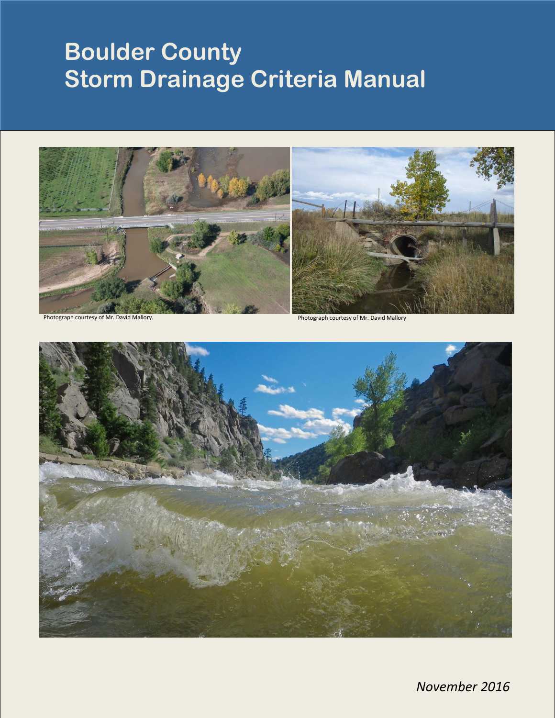# **Boulder County Storm Drainage Criteria Manual**





*November 2016*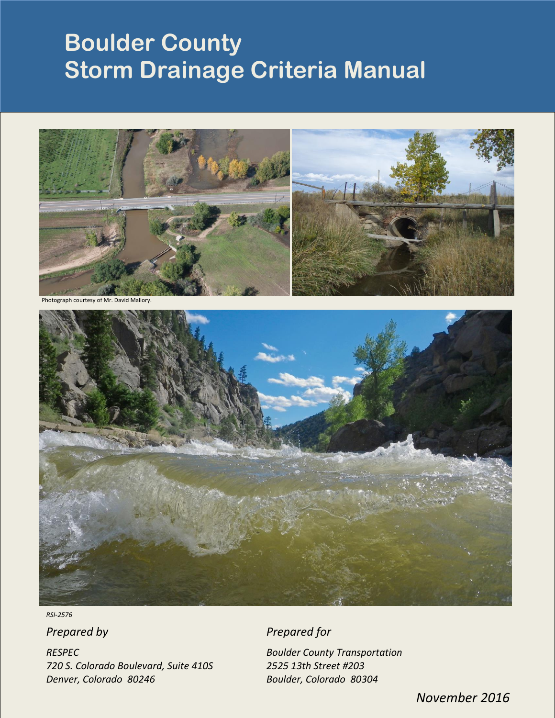## **Boulder County Storm Drainage Criteria Manual**



anh courtesy of M



*RSI-2576*

*RESPEC Boulder County Transportation 720 S. Colorado Boulevard, Suite 410S 2525 13th Street #203 Denver, Colorado 80246 Boulder, Colorado 80304*

**Prepared by Prepared for** 

*November 2016*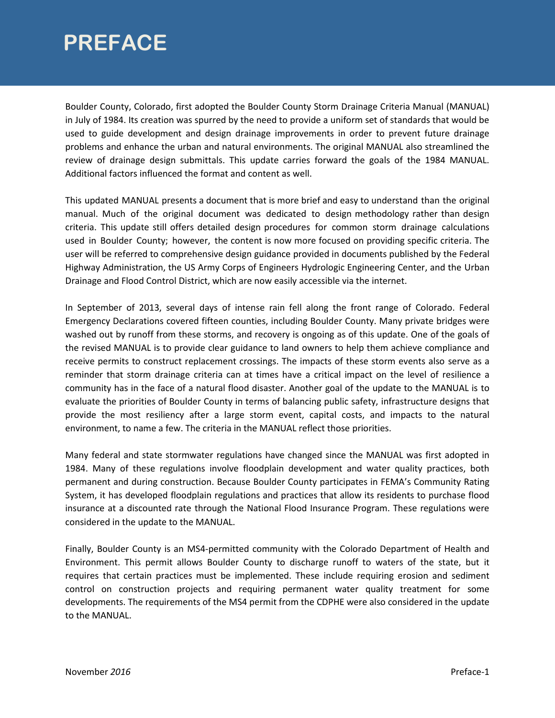### **PREFACE**

Boulder County, Colorado, first adopted the Boulder County Storm Drainage Criteria Manual (MANUAL) in July of 1984. Its creation was spurred by the need to provide a uniform set of standards that would be used to guide development and design drainage improvements in order to prevent future drainage problems and enhance the urban and natural environments. The original MANUAL also streamlined the review of drainage design submittals. This update carries forward the goals of the 1984 MANUAL. Additional factors influenced the format and content as well.

This updated MANUAL presents a document that is more brief and easy to understand than the original manual. Much of the original document was dedicated to design methodology rather than design criteria. This update still offers detailed design procedures for common storm drainage calculations used in Boulder County; however, the content is now more focused on providing specific criteria. The user will be referred to comprehensive design guidance provided in documents published by the Federal Highway Administration, the US Army Corps of Engineers Hydrologic Engineering Center, and the Urban Drainage and Flood Control District, which are now easily accessible via the internet.

In September of 2013, several days of intense rain fell along the front range of Colorado. Federal Emergency Declarations covered fifteen counties, including Boulder County. Many private bridges were washed out by runoff from these storms, and recovery is ongoing as of this update. One of the goals of the revised MANUAL is to provide clear guidance to land owners to help them achieve compliance and receive permits to construct replacement crossings. The impacts of these storm events also serve as a reminder that storm drainage criteria can at times have a critical impact on the level of resilience a community has in the face of a natural flood disaster. Another goal of the update to the MANUAL is to evaluate the priorities of Boulder County in terms of balancing public safety, infrastructure designs that provide the most resiliency after a large storm event, capital costs, and impacts to the natural environment, to name a few. The criteria in the MANUAL reflect those priorities.

Many federal and state stormwater regulations have changed since the MANUAL was first adopted in 1984. Many of these regulations involve floodplain development and water quality practices, both permanent and during construction. Because Boulder County participates in FEMA's Community Rating System, it has developed floodplain regulations and practices that allow its residents to purchase flood insurance at a discounted rate through the National Flood Insurance Program. These regulations were considered in the update to the MANUAL.

Finally, Boulder County is an MS4-permitted community with the Colorado Department of Health and Environment. This permit allows Boulder County to discharge runoff to waters of the state, but it requires that certain practices must be implemented. These include requiring erosion and sediment control on construction projects and requiring permanent water quality treatment for some developments. The requirements of the MS4 permit from the CDPHE were also considered in the update to the MANUAL.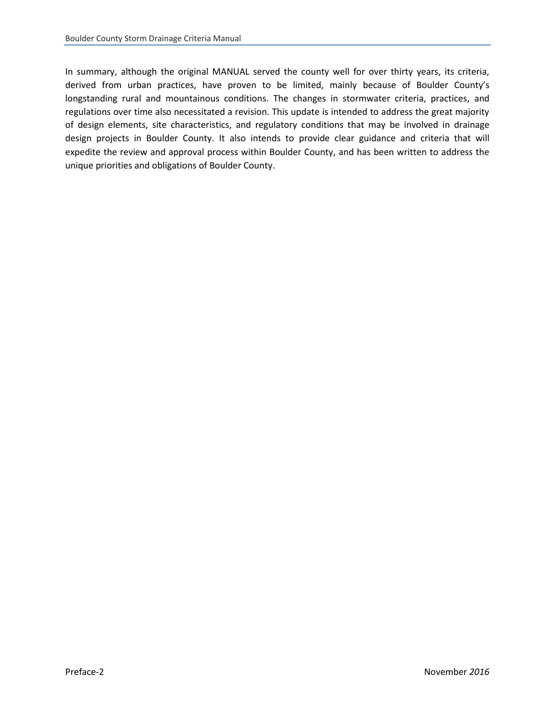In summary, although the original MANUAL served the county well for over thirty years, its criteria, derived from urban practices, have proven to be limited, mainly because of Boulder County's longstanding rural and mountainous conditions. The changes in stormwater criteria, practices, and regulations over time also necessitated a revision. This update is intended to address the great majority of design elements, site characteristics, and regulatory conditions that may be involved in drainage design projects in Boulder County. It also intends to provide clear guidance and criteria that will expedite the review and approval process within Boulder County, and has been written to address the unique priorities and obligations of Boulder County.